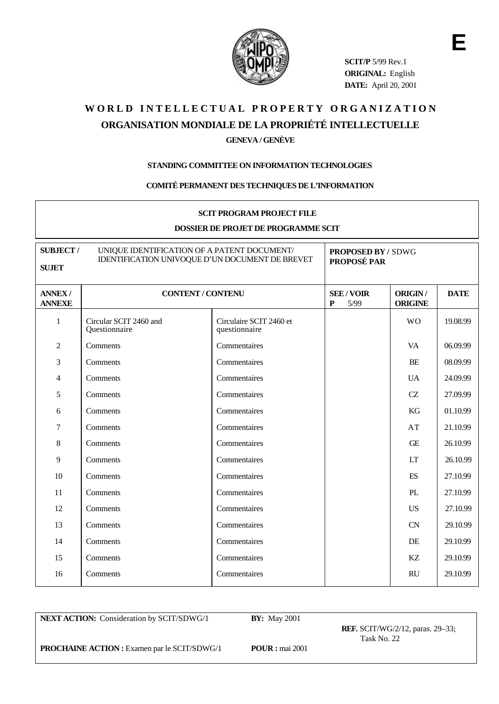

**SCIT/P** 5/99 Rev.1 **ORIGINAL:** English **DATE:** April 20, 2001 **E**

# WORLD INTELLECTUAL PROPERTY ORGANIZATION **ORGANISATION MONDIALE DE LA PROPRIÉTÉ INTELLECTUELLE**

### **GENEVA / GENÈVE**

#### **STANDING COMMITTEE ON INFORMATION TECHNOLOGIES**

#### **COMITÉ PERMANENT DES TECHNIQUES DE L'INFORMATION**

#### **SCIT PROGRAM PROJECT FILE**

#### **DOSSIER DE PROJET DE PROGRAMME SCIT**

| <b>SUBJECT/</b><br><b>SUJET</b> | UNIQUE IDENTIFICATION OF A PATENT DOCUMENT/<br>IDENTIFICATION UNIVOQUE D'UN DOCUMENT DE BREVET |                                          | <b>PROPOSED BY / SDWG</b><br>PROPOSÉ PAR |                           |             |
|---------------------------------|------------------------------------------------------------------------------------------------|------------------------------------------|------------------------------------------|---------------------------|-------------|
| <b>ANNEX/</b><br><b>ANNEXE</b>  | <b>CONTENT / CONTENU</b>                                                                       |                                          | <b>SEE/VOIR</b><br>5/99<br>P             | ORIGIN/<br><b>ORIGINE</b> | <b>DATE</b> |
| $\mathbf{1}$                    | Circular SCIT 2460 and<br>Questionnaire                                                        | Circulaire SCIT 2460 et<br>questionnaire |                                          | <b>WO</b>                 | 19.08.99    |
| $\overline{c}$                  | Comments                                                                                       | Commentaires                             |                                          | VA                        | 06.09.99    |
| 3                               | Comments                                                                                       | Commentaires                             |                                          | BE                        | 08.09.99    |
| 4                               | Comments                                                                                       | Commentaires                             |                                          | <b>UA</b>                 | 24.09.99    |
| 5                               | Comments                                                                                       | Commentaires                             |                                          | CZ                        | 27.09.99    |
| 6                               | Comments                                                                                       | Commentaires                             |                                          | KG                        | 01.10.99    |
| $\tau$                          | Comments                                                                                       | Commentaires                             |                                          | AT                        | 21.10.99    |
| 8                               | Comments                                                                                       | Commentaires                             |                                          | <b>GE</b>                 | 26.10.99    |
| 9                               | Comments                                                                                       | Commentaires                             |                                          | <b>LT</b>                 | 26.10.99    |
| 10                              | Comments                                                                                       | Commentaires                             |                                          | ES                        | 27.10.99    |
| 11                              | Comments                                                                                       | Commentaires                             |                                          | PL                        | 27.10.99    |
| 12                              | Comments                                                                                       | Commentaires                             |                                          | <b>US</b>                 | 27.10.99    |
| 13                              | Comments                                                                                       | Commentaires                             |                                          | <b>CN</b>                 | 29.10.99    |
| 14                              | Comments                                                                                       | Commentaires                             |                                          | DE                        | 29.10.99    |
| 15                              | Comments                                                                                       | Commentaires                             |                                          | KZ                        | 29.10.99    |
| 16                              | Comments                                                                                       | Commentaires                             |                                          | <b>RU</b>                 | 29.10.99    |

**NEXT ACTION:** Consideration by SCIT/SDWG/1 **BY:** May 2001

**REF.** SCIT/WG/2/12, paras. 29–33; Task No. 22

**PROCHAINE ACTION :** Examen par le SCIT/SDWG/1 **POUR :** mai 2001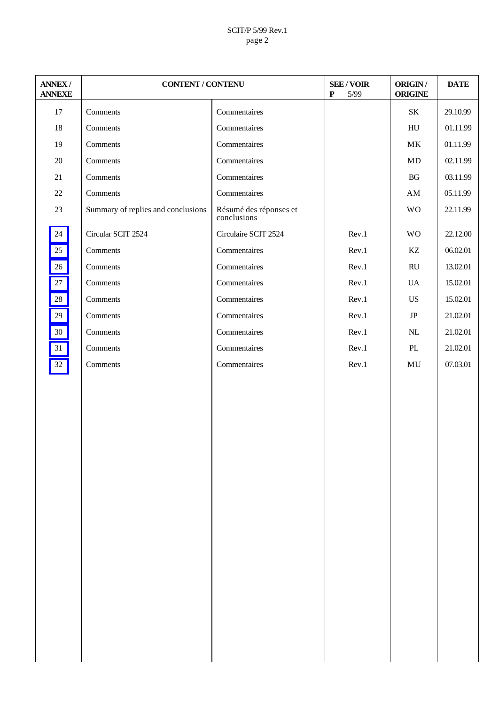#### SCIT/P 5/99 Rev.1 page 2

| <b>ANNEX/</b><br><b>ANNEXE</b> | <b>CONTENT / CONTENU</b>           |                                       | <b>SEE/VOIR</b><br>$\mathbf P$<br>$5/99$ | ORIGIN /<br><b>ORIGINE</b> | <b>DATE</b> |
|--------------------------------|------------------------------------|---------------------------------------|------------------------------------------|----------------------------|-------------|
| 17                             | Comments                           | Commentaires                          |                                          | $\rm SK$                   | 29.10.99    |
| 18                             | Comments                           | Commentaires                          |                                          | ${\rm H}{\rm U}$           | 01.11.99    |
| 19                             | Comments                           | Commentaires                          |                                          | $\rm MK$                   | 01.11.99    |
| $20\,$                         | Comments                           | Commentaires                          |                                          | MD                         | 02.11.99    |
| $21\,$                         | Comments                           | Commentaires                          |                                          | $\operatorname{B} G$       | 03.11.99    |
| $22\,$                         | Comments                           | Commentaires                          |                                          | $\mathbf{A}\mathbf{M}$     | 05.11.99    |
| $23\,$                         | Summary of replies and conclusions | Résumé des réponses et<br>conclusions |                                          | <b>WO</b>                  | 22.11.99    |
| $24\,$                         | Circular SCIT 2524                 | Circulaire SCIT 2524                  | Rev.1                                    | <b>WO</b>                  | 22.12.00    |
| $25\,$                         | Comments                           | Commentaires                          | Rev.1                                    | $\mathbf{KZ}$              | 06.02.01    |
| 26                             | Comments                           | Commentaires                          | Rev.1                                    | $\mathbf{R}\mathbf{U}$     | 13.02.01    |
| $27\,$                         | Comments                           | Commentaires                          | Rev.1                                    | <b>UA</b>                  | 15.02.01    |
| $28\,$                         | Comments                           | Commentaires                          | Rev.1                                    | US                         | 15.02.01    |
| $29\,$                         | Comments                           | Commentaires                          | Rev.1                                    | $\rm{JP}$                  | 21.02.01    |
| $30\,$                         | Comments                           | Commentaires                          | Rev.1                                    | $\rm NL$                   | 21.02.01    |
| 31                             | Comments                           | Commentaires                          | Rev.1                                    | $\rm PL$                   | 21.02.01    |
| $32\,$                         | Comments                           | Commentaires                          | Rev.1                                    | $\rm MU$                   | 07.03.01    |
|                                |                                    |                                       |                                          |                            |             |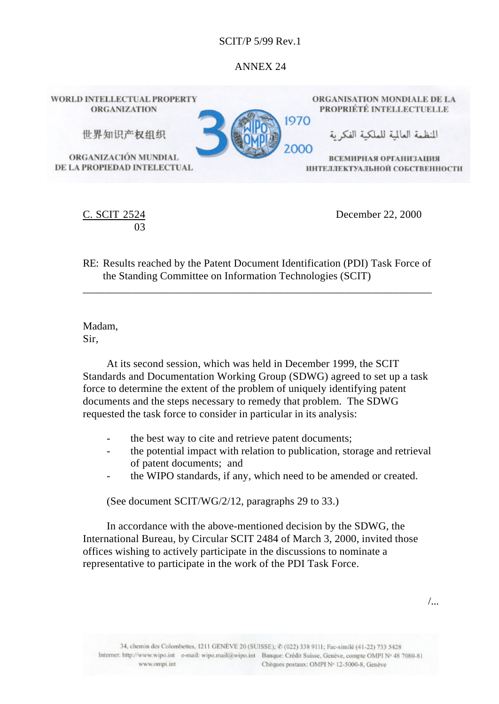## ANNEX 24

<span id="page-2-0"></span>

 $SCIT$  2 03 December 22, 2000

RE: Results reached by the Patent Document Identification (PDI) Task Force of the Standing Committee on Information Technologies (SCIT)

\_\_\_\_\_\_\_\_\_\_\_\_\_\_\_\_\_\_\_\_\_\_\_\_\_\_\_\_\_\_\_\_\_\_\_\_\_\_\_\_\_\_\_\_\_\_\_\_\_\_\_\_\_\_\_\_\_\_\_\_\_\_\_\_

Madam, Sir,

At its second session, which was held in December 1999, the SCIT Standards and Documentation Working Group (SDWG) agreed to set up a task force to determine the extent of the problem of uniquely identifying patent documents and the steps necessary to remedy that problem. The SDWG requested the task force to consider in particular in its analysis:

- the best way to cite and retrieve patent documents;
- the potential impact with relation to publication, storage and retrieval of patent documents; and
- the WIPO standards, if any, which need to be amended or created.

(See document SCIT/WG/2/12, paragraphs 29 to 33.)

In accordance with the above-mentioned decision by the SDWG, the International Bureau, by Circular SCIT 2484 of March 3, 2000, invited those offices wishing to actively participate in the discussions to nominate a representative to participate in the work of the PDI Task Force.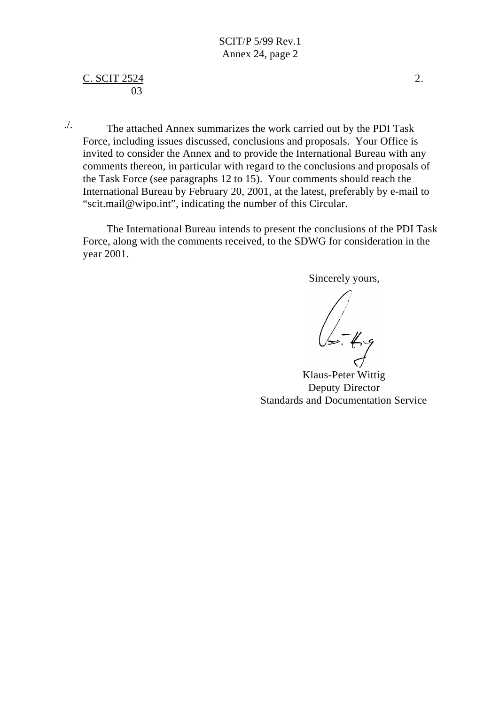### $C.$  SCIT 2524 2. 03

The attached Annex summarizes the work carried out by the PDI Task Force, including issues discussed, conclusions and proposals. Your Office is invited to consider the Annex and to provide the International Bureau with any comments thereon, in particular with regard to the conclusions and proposals of the Task Force (see paragraphs 12 to 15). Your comments should reach the International Bureau by February 20, 2001, at the latest, preferably by e-mail to "scit.mail@wipo.int", indicating the number of this Circular. ./.

The International Bureau intends to present the conclusions of the PDI Task Force, along with the comments received, to the SDWG for consideration in the year 2001.

Sincerely yours,

 $\sqrt{\sqrt{2\pi}}$ 

Klaus-Peter Wittig Deputy Director Standards and Documentation Service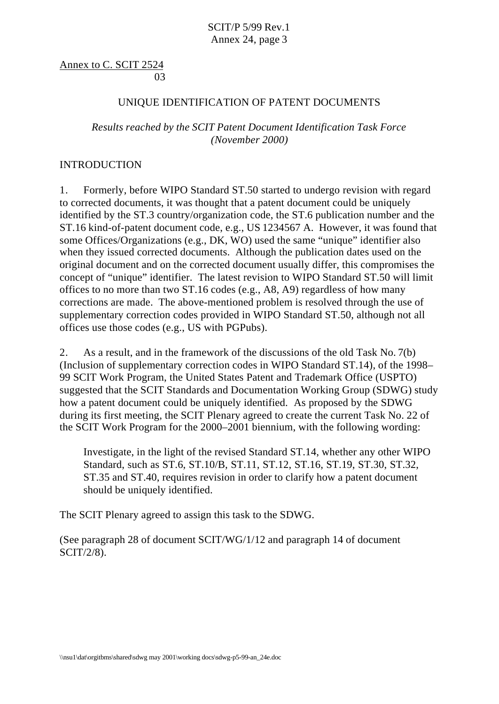Annex to C. SCIT 2524 and the contract of the contract of the contract of the contract of the contract of the contract of the contract of the contract of the contract of the contract of the contract of the contract of the contract of the contra

### UNIQUE IDENTIFICATION OF PATENT DOCUMENTS

## *Results reached by the SCIT Patent Document Identification Task Force (November 2000)*

### INTRODUCTION

1. Formerly, before WIPO Standard ST.50 started to undergo revision with regard to corrected documents, it was thought that a patent document could be uniquely identified by the ST.3 country/organization code, the ST.6 publication number and the ST.16 kind-of-patent document code, e.g., US 1234567 A. However, it was found that some Offices/Organizations (e.g., DK, WO) used the same "unique" identifier also when they issued corrected documents. Although the publication dates used on the original document and on the corrected document usually differ, this compromises the concept of "unique" identifier. The latest revision to WIPO Standard ST.50 will limit offices to no more than two ST.16 codes (e.g., A8, A9) regardless of how many corrections are made. The above-mentioned problem is resolved through the use of supplementary correction codes provided in WIPO Standard ST.50, although not all offices use those codes (e.g., US with PGPubs).

2. As a result, and in the framework of the discussions of the old Task No. 7(b) (Inclusion of supplementary correction codes in WIPO Standard ST.14), of the 1998– 99 SCIT Work Program, the United States Patent and Trademark Office (USPTO) suggested that the SCIT Standards and Documentation Working Group (SDWG) study how a patent document could be uniquely identified. As proposed by the SDWG during its first meeting, the SCIT Plenary agreed to create the current Task No. 22 of the SCIT Work Program for the 2000–2001 biennium, with the following wording:

Investigate, in the light of the revised Standard ST.14, whether any other WIPO Standard, such as ST.6, ST.10/B, ST.11, ST.12, ST.16, ST.19, ST.30, ST.32, ST.35 and ST.40, requires revision in order to clarify how a patent document should be uniquely identified.

The SCIT Plenary agreed to assign this task to the SDWG.

(See paragraph 28 of document SCIT/WG/1/12 and paragraph 14 of document SCIT/2/8).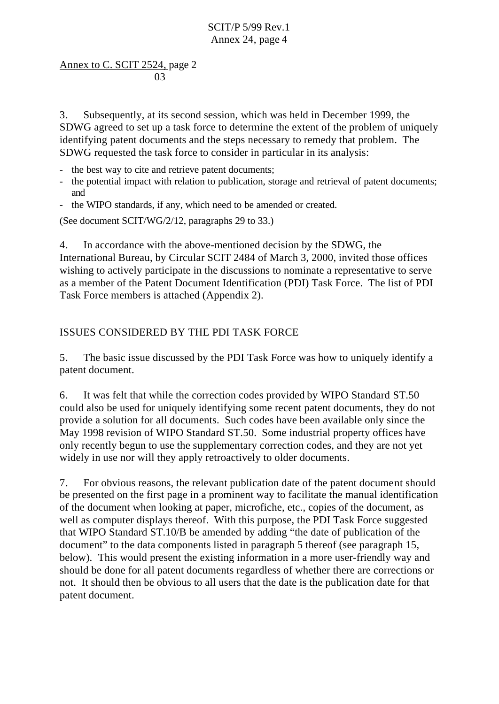## Annex to C. SCIT 2524, page 2 and the contract of the contract of the contract of the contract of the contract of the contract of the contract of the contract of the contract of the contract of the contract of the contract of the contract of the contra

3. Subsequently, at its second session, which was held in December 1999, the SDWG agreed to set up a task force to determine the extent of the problem of uniquely identifying patent documents and the steps necessary to remedy that problem. The SDWG requested the task force to consider in particular in its analysis:

- the best way to cite and retrieve patent documents;
- the potential impact with relation to publication, storage and retrieval of patent documents; and
- the WIPO standards, if any, which need to be amended or created.

(See document SCIT/WG/2/12, paragraphs 29 to 33.)

4. In accordance with the above-mentioned decision by the SDWG, the International Bureau, by Circular SCIT 2484 of March 3, 2000, invited those offices wishing to actively participate in the discussions to nominate a representative to serve as a member of the Patent Document Identification (PDI) Task Force. The list of PDI Task Force members is attached (Appendix 2).

# ISSUES CONSIDERED BY THE PDI TASK FORCE

5. The basic issue discussed by the PDI Task Force was how to uniquely identify a patent document.

6. It was felt that while the correction codes provided by WIPO Standard ST.50 could also be used for uniquely identifying some recent patent documents, they do not provide a solution for all documents. Such codes have been available only since the May 1998 revision of WIPO Standard ST.50. Some industrial property offices have only recently begun to use the supplementary correction codes, and they are not yet widely in use nor will they apply retroactively to older documents.

7. For obvious reasons, the relevant publication date of the patent document should be presented on the first page in a prominent way to facilitate the manual identification of the document when looking at paper, microfiche, etc., copies of the document, as well as computer displays thereof. With this purpose, the PDI Task Force suggested that WIPO Standard ST.10/B be amended by adding "the date of publication of the document" to the data components listed in paragraph 5 thereof (see paragraph 15, below). This would present the existing information in a more user-friendly way and should be done for all patent documents regardless of whether there are corrections or not. It should then be obvious to all users that the date is the publication date for that patent document.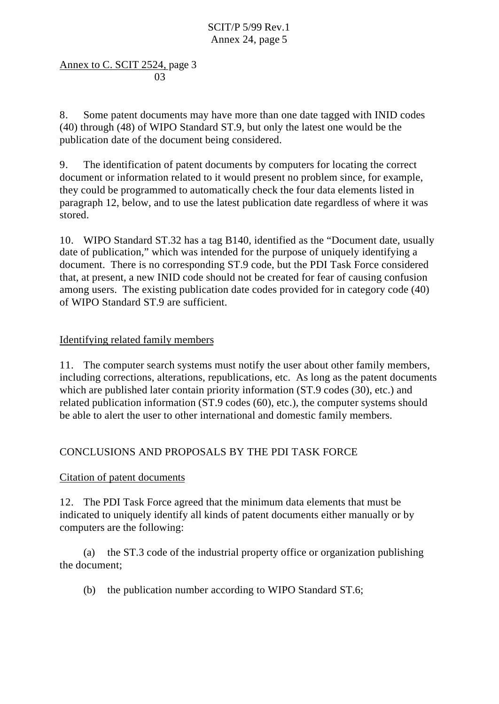Annex to C. SCIT 2524, page 3 and the contract of the contract of the contract of the contract of the contract of the contract of the contract of the contract of the contract of the contract of the contract of the contract of the contract of the contra

8. Some patent documents may have more than one date tagged with INID codes (40) through (48) of WIPO Standard ST.9, but only the latest one would be the publication date of the document being considered.

9. The identification of patent documents by computers for locating the correct document or information related to it would present no problem since, for example, they could be programmed to automatically check the four data elements listed in paragraph 12, below, and to use the latest publication date regardless of where it was stored.

10. WIPO Standard ST.32 has a tag B140, identified as the "Document date, usually date of publication," which was intended for the purpose of uniquely identifying a document. There is no corresponding ST.9 code, but the PDI Task Force considered that, at present, a new INID code should not be created for fear of causing confusion among users. The existing publication date codes provided for in category code (40) of WIPO Standard ST.9 are sufficient.

# Identifying related family members

11. The computer search systems must notify the user about other family members, including corrections, alterations, republications, etc. As long as the patent documents which are published later contain priority information (ST.9 codes (30), etc.) and related publication information (ST.9 codes (60), etc.), the computer systems should be able to alert the user to other international and domestic family members.

# CONCLUSIONS AND PROPOSALS BY THE PDI TASK FORCE

# Citation of patent documents

12. The PDI Task Force agreed that the minimum data elements that must be indicated to uniquely identify all kinds of patent documents either manually or by computers are the following:

(a) the ST.3 code of the industrial property office or organization publishing the document;

(b) the publication number according to WIPO Standard ST.6;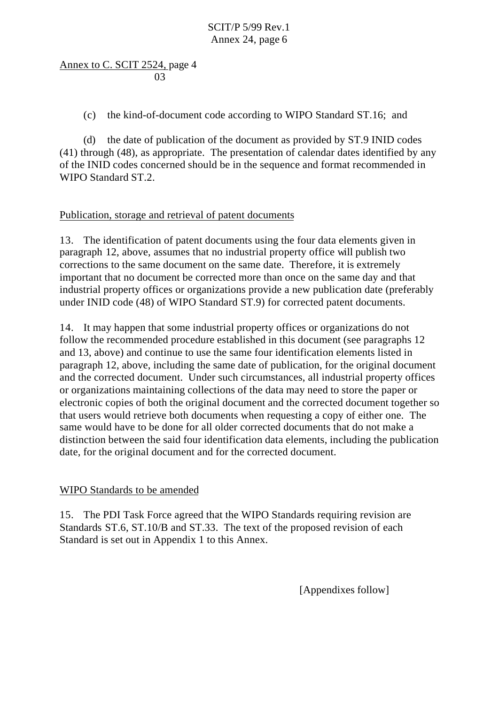Annex to C. SCIT 2524, page 4 and the contract of the contract of the contract of the contract of the contract of the contract of the contract of the contract of the contract of the contract of the contract of the contract of the contract of the contra

(c) the kind-of-document code according to WIPO Standard ST.16; and

(d) the date of publication of the document as provided by ST.9 INID codes (41) through (48), as appropriate. The presentation of calendar dates identified by any of the INID codes concerned should be in the sequence and format recommended in WIPO Standard ST.2.

# Publication, storage and retrieval of patent documents

13. The identification of patent documents using the four data elements given in paragraph 12, above, assumes that no industrial property office will publish two corrections to the same document on the same date. Therefore, it is extremely important that no document be corrected more than once on the same day and that industrial property offices or organizations provide a new publication date (preferably under INID code (48) of WIPO Standard ST.9) for corrected patent documents.

14. It may happen that some industrial property offices or organizations do not follow the recommended procedure established in this document (see paragraphs 12 and 13, above) and continue to use the same four identification elements listed in paragraph 12, above, including the same date of publication, for the original document and the corrected document. Under such circumstances, all industrial property offices or organizations maintaining collections of the data may need to store the paper or electronic copies of both the original document and the corrected document together so that users would retrieve both documents when requesting a copy of either one. The same would have to be done for all older corrected documents that do not make a distinction between the said four identification data elements, including the publication date, for the original document and for the corrected document.

## WIPO Standards to be amended

15. The PDI Task Force agreed that the WIPO Standards requiring revision are Standards ST.6, ST.10/B and ST.33. The text of the proposed revision of each Standard is set out in Appendix 1 to this Annex.

[Appendixes follow]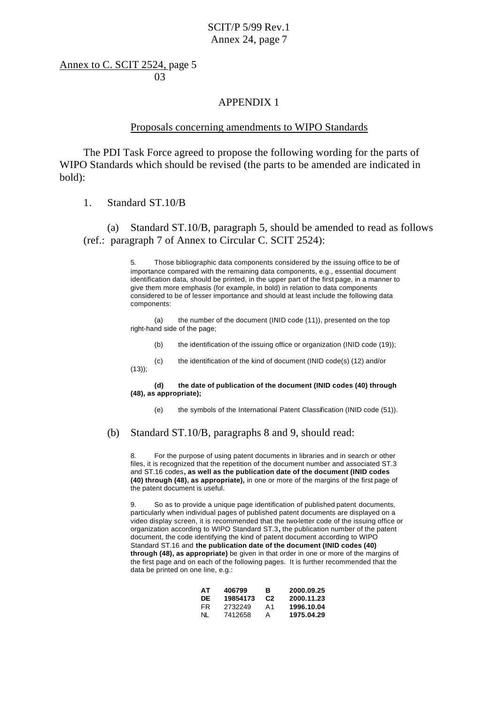Annex to C. SCIT 2524, page 5 and the contract of the contract of the contract of the contract of the contract of the contract of the contract of the contract of the contract of the contract of the contract of the contract of the contract of the contra

### APPENDIX 1

#### Proposals concerning amendments to WIPO Standards

The PDI Task Force agreed to propose the following wording for the parts of WIPO Standards which should be revised (the parts to be amended are indicated in bold):

1. Standard ST.10/B

 $(13)$ ;

(a) Standard ST.10/B, paragraph 5, should be amended to read as follows (ref.: paragraph 7 of Annex to Circular C. SCIT 2524):

> 5. Those bibliographic data components considered by the issuing office to be of importance compared with the remaining data components, e.g., essential document identification data, should be printed, in the upper part of the first page, in a manner to give them more emphasis (for example, in bold) in relation to data components considered to be of lesser importance and should at least include the following data components:

(a) the number of the document (INID code (11)), presented on the top right-hand side of the page;

- (b) the identification of the issuing office or organization (INID code (19));
- (c) the identification of the kind of document (INID code(s) (12) and/or

**(d) the date of publication of the document (INID codes (40) through (48), as appropriate);**

(e) the symbols of the International Patent Classification (INID code (51)).

#### (b) Standard ST.10/B, paragraphs 8 and 9, should read:

8. For the purpose of using patent documents in libraries and in search or other files, it is recognized that the repetition of the document number and associated ST.3 and ST.16 codes**, as well as the publication date of the document (INID codes (40) through (48), as appropriate),** in one or more of the margins of the first page of the patent document is useful.

9. So as to provide a unique page identification of published patent documents, particularly when individual pages of published patent documents are displayed on a video display screen, it is recommended that the two-letter code of the issuing office or organization according to WIPO Standard ST.3**,** the publication number of the patent document, the code identifying the kind of patent document according to WIPO Standard ST.16 and **the publication date of the document (INID codes (40) through (48), as appropriate)** be given in that order in one or more of the margins of the first page and on each of the following pages. It is further recommended that the data be printed on one line, e.g.:

| AТ | 406799   | в              | 2000.09.25 |
|----|----------|----------------|------------|
| DE | 19854173 | C <sub>2</sub> | 2000.11.23 |
| FR | 2732249  | Α1             | 1996.10.04 |
| NL | 7412658  | А              | 1975.04.29 |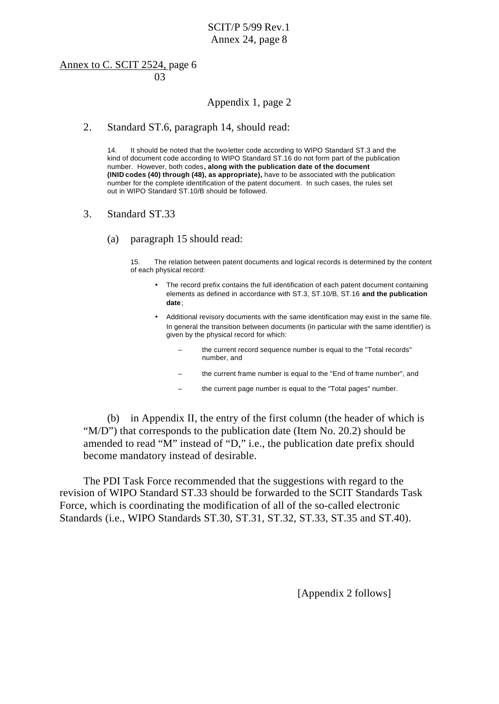### Annex to C. SCIT 2524, page 6 and the contract of the contract of the contract of the contract of the contract of the contract of the contract of the contract of the contract of the contract of the contract of the contract of the contract of the contra

## Appendix 1, page 2

#### 2. Standard ST.6, paragraph 14, should read:

14. It should be noted that the two-letter code according to WIPO Standard ST.3 and the kind of document code according to WIPO Standard ST.16 do not form part of the publication number. However, both codes**, along with the publication date of the document (INID codes (40) through (48), as appropriate),** have to be associated with the publication number for the complete identification of the patent document. In such cases, the rules set out in WIPO Standard ST.10/B should be followed.

- 3. Standard ST.33
	- (a) paragraph 15 should read:

15. The relation between patent documents and logical records is determined by the content of each physical record:

- The record prefix contains the full identification of each patent document containing elements as defined in accordance with ST.3, ST.10/B, ST.16 **and the publication date**;
- Additional revisory documents with the same identification may exist in the same file. In general the transition between documents (in particular with the same identifier) is given by the physical record for which:
	- the current record sequence number is equal to the "Total records" number, and
	- the current frame number is equal to the "End of frame number", and
	- the current page number is equal to the "Total pages" number.

(b) in Appendix II, the entry of the first column (the header of which is "M/D") that corresponds to the publication date (Item No. 20.2) should be amended to read "M" instead of "D," i.e., the publication date prefix should become mandatory instead of desirable.

The PDI Task Force recommended that the suggestions with regard to the revision of WIPO Standard ST.33 should be forwarded to the SCIT Standards Task Force, which is coordinating the modification of all of the so-called electronic Standards (i.e., WIPO Standards ST.30, ST.31, ST.32, ST.33, ST.35 and ST.40).

[Appendix 2 follows]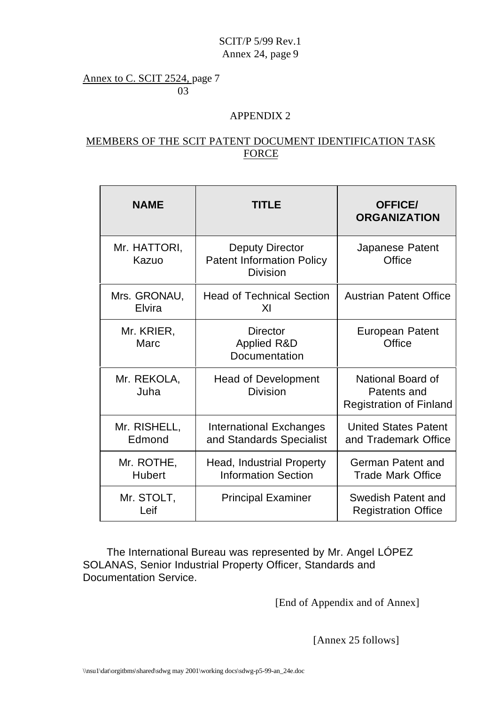Annex to C. SCIT 2524, page 7 03

## APPENDIX 2

## MEMBERS OF THE SCIT PATENT DOCUMENT IDENTIFICATION TASK FORCE

| <b>NAME</b>                 | <b>TITLE</b>                                                                  | <b>OFFICE/</b><br><b>ORGANIZATION</b>                              |
|-----------------------------|-------------------------------------------------------------------------------|--------------------------------------------------------------------|
| Mr. HATTORI,<br>Kazuo       | <b>Deputy Director</b><br><b>Patent Information Policy</b><br><b>Division</b> | Japanese Patent<br>Office                                          |
| Mrs. GRONAU,<br>Elvira      | <b>Head of Technical Section</b><br>XI                                        | <b>Austrian Patent Office</b>                                      |
| Mr. KRIER,<br>Marc          | <b>Director</b><br><b>Applied R&amp;D</b><br>Documentation                    | <b>European Patent</b><br>Office                                   |
| Mr. REKOLA,<br>Juha         | <b>Head of Development</b><br><b>Division</b>                                 | National Board of<br>Patents and<br><b>Registration of Finland</b> |
| Mr. RISHELL,<br>Edmond      | <b>International Exchanges</b><br>and Standards Specialist                    | <b>United States Patent</b><br>and Trademark Office                |
| Mr. ROTHE,<br><b>Hubert</b> | Head, Industrial Property<br><b>Information Section</b>                       | German Patent and<br><b>Trade Mark Office</b>                      |
| Mr. STOLT,<br>Leif          | <b>Principal Examiner</b>                                                     | Swedish Patent and<br><b>Registration Office</b>                   |

The International Bureau was represented by Mr. Angel LÓPEZ SOLANAS, Senior Industrial Property Officer, Standards and Documentation Service.

[End of Appendix and of Annex]

[Annex 25 follows]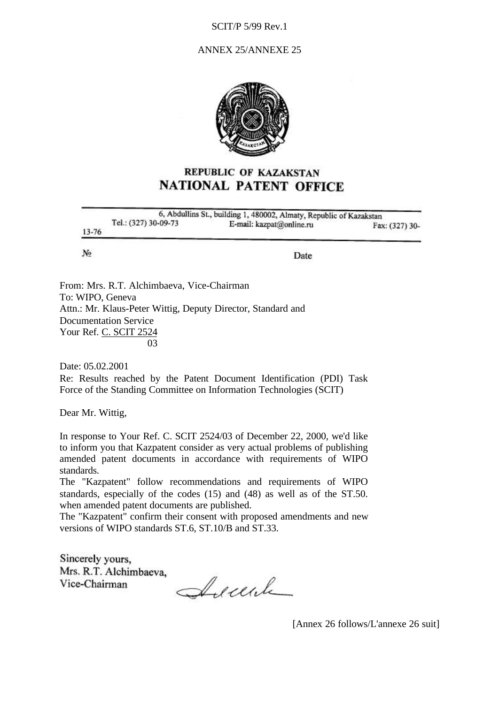### <span id="page-11-0"></span>ANNEX 25/ANNEXE 25



# **REPUBLIC OF KAZAKSTAN NATIONAL PATENT OFFICE**

|           | 6, Abdullins St., building 1, 480002, Almaty, Republic of Kazakstan |                          |                |  |
|-----------|---------------------------------------------------------------------|--------------------------|----------------|--|
| $13 - 76$ | Tel.: (327) 30-09-73                                                | E-mail: kazpat@online.ru | Fax: (327) 30- |  |
| No.       |                                                                     | Date                     |                |  |
|           |                                                                     |                          |                |  |

From: Mrs. R.T. Alchimbaeva, Vice-Chairman To: WIPO, Geneva Attn.: Mr. Klaus-Peter Wittig, Deputy Director, Standard and Documentation Service Your Ref. C. SCIT 2524 and the contract of the contract of the contract of the contract of the contract of the contract of the contract of the contract of the contract of the contract of the contract of the contract of the contract of the contra

Date: 05.02.2001 Re: Results reached by the Patent Document Identification (PDI) Task Force of the Standing Committee on Information Technologies (SCIT)

Dear Mr. Wittig,

In response to Your Ref. C. SCIT 2524/03 of December 22, 2000, we'd like to inform you that Kazpatent consider as very actual problems of publishing amended patent documents in accordance with requirements of WIPO standards.

The "Kazpatent" follow recommendations and requirements of WIPO standards, especially of the codes (15) and (48) as well as of the ST.50. when amended patent documents are published.

The "Kazpatent" confirm their consent with proposed amendments and new versions of WIPO standards ST.6, ST.10/B and ST.33.

Sincerely yours, Mrs. R.T. Alchimbaeva, Vice-Chairman

Arcule

[Annex 26 follows/L'annexe 26 suit]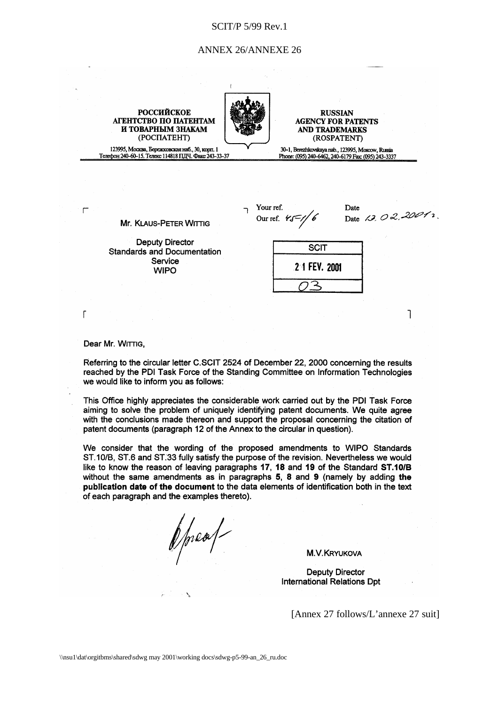#### ANNEX 26/ANNEXE 26

**RUSSIAN AGENCY FOR PATENTS AND TRADEMARKS** (ROSPATENT)

30-1, Berezhkovskaya nab., 123995, Moscow, Russia

Phone: (095) 240-6462, 240-6179 Fax: (095) 243-3337

123995, Москва, Бережковская наб., 30, корп. 1 Телефон 240-60-15. Телекс 114818 ПДЧ, Факс 243-33-37

**РОССИЙСКОЕ** 

<span id="page-12-0"></span>АГЕНТСТВО ПО ПАТЕНТАМ

И ТОВАРНЫМ ЗНАКАМ

(POCITATEHT)

Your ref. Our ref.  $45\frac{2}{10}$ 

Date Date 13, 02, 2001,

 $\overline{\phantom{a}}$ 

**Deputy Director Standards and Documentation** Service

**Mr. KLAUS-PETER WITTIG** 

**WIPO** 

**SCIT 21 FEV. 2001** っ

Dear Mr. WITTIG,

 $\mathsf{r}$ 

 $\overline{1}$ 

Referring to the circular letter C.SCIT 2524 of December 22, 2000 concerning the results reached by the PDI Task Force of the Standing Committee on Information Technologies we would like to inform you as follows:

This Office highly appreciates the considerable work carried out by the PDI Task Force aiming to solve the problem of uniquely identifying patent documents. We quite agree with the conclusions made thereon and support the proposal concerning the citation of patent documents (paragraph 12 of the Annex to the circular in question).

We consider that the wording of the proposed amendments to WIPO Standards ST.10/B, ST.6 and ST.33 fully satisfy the purpose of the revision. Nevertheless we would like to know the reason of leaving paragraphs 17, 18 and 19 of the Standard ST.10/B without the same amendments as in paragraphs 5, 8 and 9 (namely by adding the publication date of the document to the data elements of identification both in the text of each paragraph and the examples thereto).

ppeal

**M.V.KRYUKOVA** 

**Deputy Director International Relations Dpt** 

[Annex 27 follows/L'annexe 27 suit]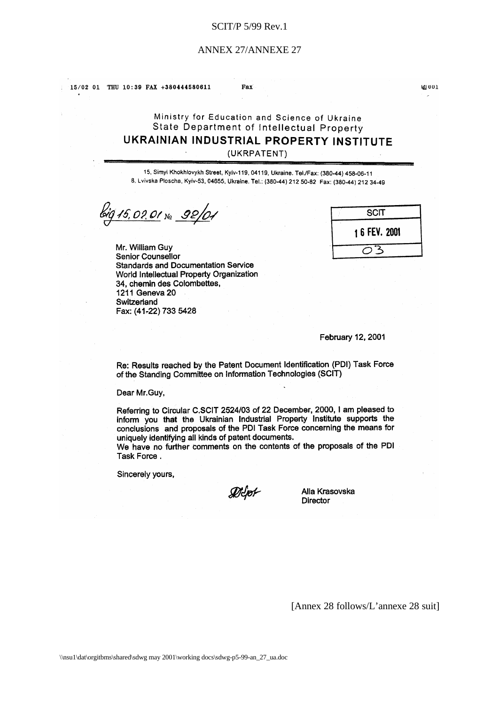#### ANNEX 27/ANNEXE 27

<span id="page-13-0"></span>15/02 01 THU 10:39 FAX +380444580611

Fax

# Ministry for Education and Science of Ukraine State Department of Intellectual Property UKRAINIAN INDUSTRIAL PROPERTY INSTITUTE

(UKRPATENT)

15, Simyi Khokhlovykh Street, Kyiv-119, 04119, Ukraine. Tel./Fax: (380-44) 458-06-11 8. Lvivska Ploscha, Kyiv-53, 04655, Ukraine. Tel.: (380-44) 212 50-82 Fax: (380-44) 212 34-49

15,02.01 No 92/0-

Mr. William Guy Senior Counsellor **Standards and Documentation Service** World Intellectual Property Organization 34. chemin des Colombettes, 1211 Geneva 20 Switzerland Fax: (41-22) 733 5428

| <b>SCIT</b>   |
|---------------|
| 1 6 FEV. 2001 |
|               |

**ខ្លោបប**ា

February 12, 2001

Re: Results reached by the Patent Document Identification (PDI) Task Force of the Standing Committee on Information Technologies (SCIT)

Dear Mr.Guy,

Referring to Circular C.SCIT 2524/03 of 22 December, 2000, I am pleased to inform you that the Ukrainian Industrial Property Institute supports the conclusions and proposals of the PDI Task Force concerning the means for uniquely identifying all kinds of patent documents.

We have no further comments on the contents of the proposals of the PDI Task Force.

Sincerely yours,

ØJoF

Alla Krasovska **Director** 

[Annex 28 follows/L'annexe 28 suit]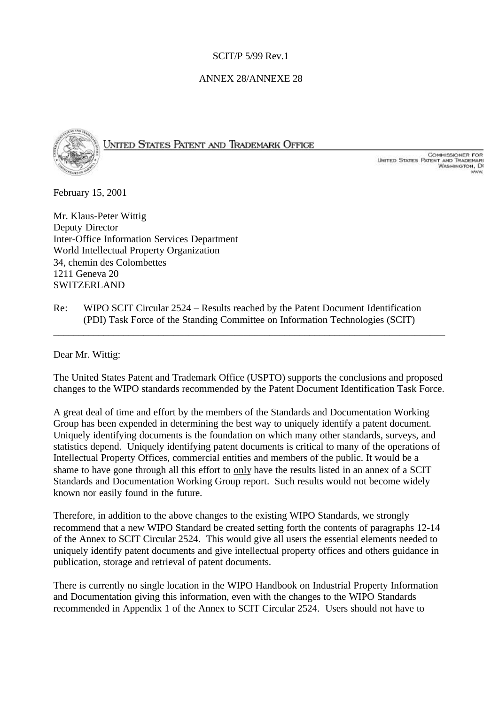### ANNEX 28/ANNEXE 28

<span id="page-14-0"></span>

UNITED STATES PATENT AND TRADEMARK OFFICE

COMMISSIONER FOR<br>United States Patent and Trademari<br>Washington, Di

February 15, 2001

Mr. Klaus-Peter Wittig Deputy Director Inter-Office Information Services Department World Intellectual Property Organization 34, chemin des Colombettes 1211 Geneva 20 SWITZERLAND

Re: WIPO SCIT Circular 2524 – Results reached by the Patent Document Identification (PDI) Task Force of the Standing Committee on Information Technologies (SCIT)

Dear Mr. Wittig:

The United States Patent and Trademark Office (USPTO) supports the conclusions and proposed changes to the WIPO standards recommended by the Patent Document Identification Task Force.

\_\_\_\_\_\_\_\_\_\_\_\_\_\_\_\_\_\_\_\_\_\_\_\_\_\_\_\_\_\_\_\_\_\_\_\_\_\_\_\_\_\_\_\_\_\_\_\_\_\_\_\_\_\_\_\_\_\_\_\_\_\_\_\_\_\_\_\_\_\_\_\_\_\_\_\_\_\_

A great deal of time and effort by the members of the Standards and Documentation Working Group has been expended in determining the best way to uniquely identify a patent document. Uniquely identifying documents is the foundation on which many other standards, surveys, and statistics depend. Uniquely identifying patent documents is critical to many of the operations of Intellectual Property Offices, commercial entities and members of the public. It would be a shame to have gone through all this effort to only have the results listed in an annex of a SCIT Standards and Documentation Working Group report. Such results would not become widely known nor easily found in the future.

Therefore, in addition to the above changes to the existing WIPO Standards, we strongly recommend that a new WIPO Standard be created setting forth the contents of paragraphs 12-14 of the Annex to SCIT Circular 2524. This would give all users the essential elements needed to uniquely identify patent documents and give intellectual property offices and others guidance in publication, storage and retrieval of patent documents.

There is currently no single location in the WIPO Handbook on Industrial Property Information and Documentation giving this information, even with the changes to the WIPO Standards recommended in Appendix 1 of the Annex to SCIT Circular 2524. Users should not have to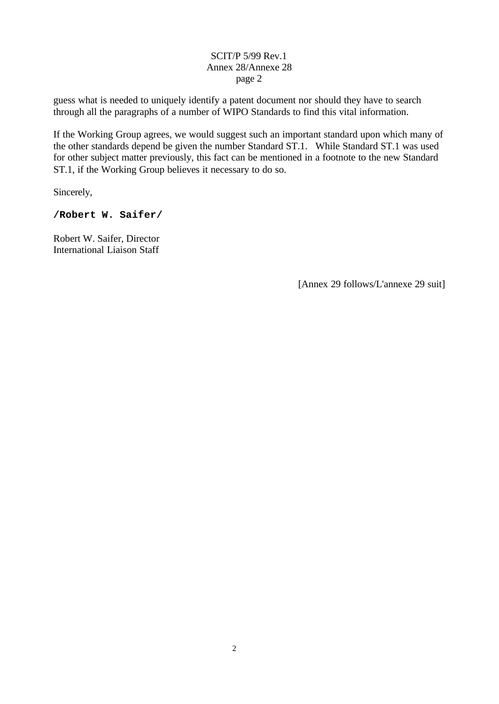### SCIT/P 5/99 Rev.1 Annex 28/Annexe 28 page 2

guess what is needed to uniquely identify a patent document nor should they have to search through all the paragraphs of a number of WIPO Standards to find this vital information.

If the Working Group agrees, we would suggest such an important standard upon which many of the other standards depend be given the number Standard ST.1. While Standard ST.1 was used for other subject matter previously, this fact can be mentioned in a footnote to the new Standard ST.1, if the Working Group believes it necessary to do so.

Sincerely,

### **/Robert W. Saifer/**

Robert W. Saifer, Director International Liaison Staff

[Annex 29 follows/L'annexe 29 suit]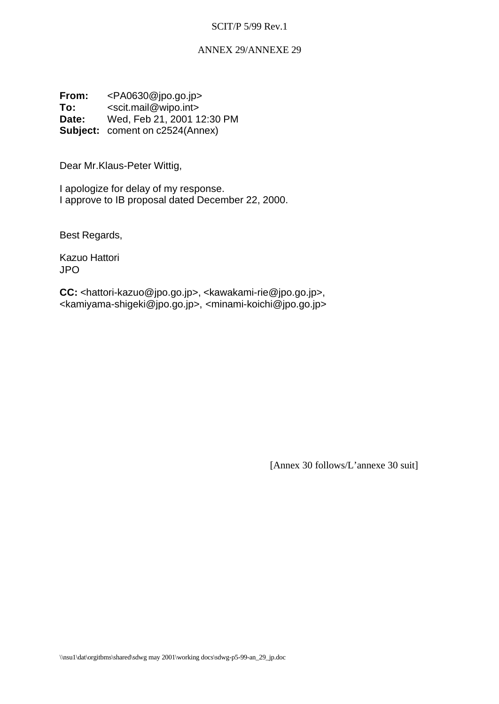#### ANNEX 29/ANNEXE 29

<span id="page-16-0"></span>**From:** <PA0630@jpo.go.jp> **To:** <scit.mail@wipo.int> **Date:** Wed, Feb 21, 2001 12:30 PM **Subject:** coment on c2524(Annex)

Dear Mr.Klaus-Peter Wittig,

I apologize for delay of my response. I approve to IB proposal dated December 22, 2000.

Best Regards,

Kazuo Hattori JPO

**CC:** <hattori-kazuo@jpo.go.jp>, <kawakami-rie@jpo.go.jp>, <kamiyama-shigeki@jpo.go.jp>, <minami-koichi@jpo.go.jp>

[Annex 30 follows/L'annexe 30 suit]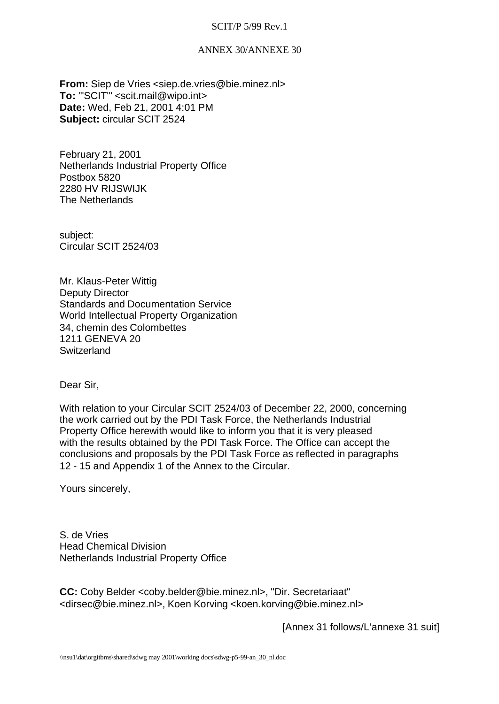### ANNEX 30/ANNEXE 30

<span id="page-17-0"></span>**From:** Siep de Vries <siep.de.vries@bie.minez.nl> To: "'SCIT'" <scit.mail@wipo.int> **Date:** Wed, Feb 21, 2001 4:01 PM **Subject:** circular SCIT 2524

February 21, 2001 Netherlands Industrial Property Office Postbox 5820 2280 HV RIJSWIJK The Netherlands

subject: Circular SCIT 2524/03

Mr. Klaus-Peter Wittig Deputy Director Standards and Documentation Service World Intellectual Property Organization 34, chemin des Colombettes 1211 GENEVA 20 **Switzerland** 

Dear Sir,

With relation to your Circular SCIT 2524/03 of December 22, 2000, concerning the work carried out by the PDI Task Force, the Netherlands Industrial Property Office herewith would like to inform you that it is very pleased with the results obtained by the PDI Task Force. The Office can accept the conclusions and proposals by the PDI Task Force as reflected in paragraphs 12 - 15 and Appendix 1 of the Annex to the Circular.

Yours sincerely,

S. de Vries Head Chemical Division Netherlands Industrial Property Office

**CC:** Coby Belder <coby.belder@bie.minez.nl>, "Dir. Secretariaat" <dirsec@bie.minez.nl>, Koen Korving <koen.korving@bie.minez.nl>

[Annex 31 follows/L'annexe 31 suit]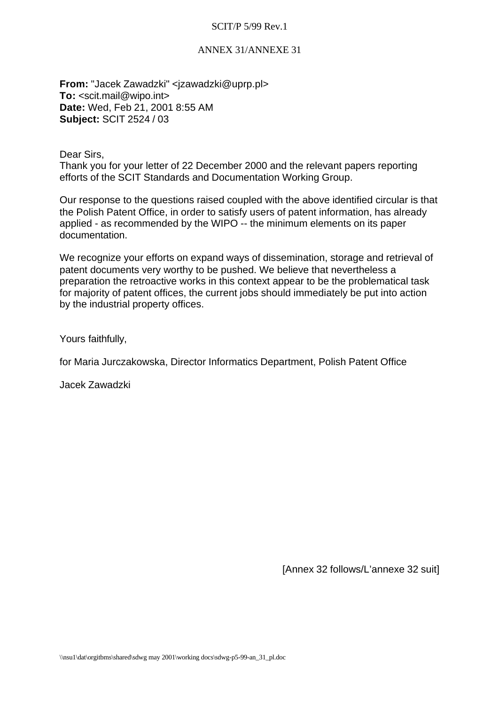### ANNEX 31/ANNEXE 31

<span id="page-18-0"></span>**From:** "Jacek Zawadzki" <jzawadzki@uprp.pl> **To:** <scit.mail@wipo.int> **Date:** Wed, Feb 21, 2001 8:55 AM **Subject:** SCIT 2524 / 03

Dear Sirs,

Thank you for your letter of 22 December 2000 and the relevant papers reporting efforts of the SCIT Standards and Documentation Working Group.

Our response to the questions raised coupled with the above identified circular is that the Polish Patent Office, in order to satisfy users of patent information, has already applied - as recommended by the WIPO -- the minimum elements on its paper documentation.

We recognize your efforts on expand ways of dissemination, storage and retrieval of patent documents very worthy to be pushed. We believe that nevertheless a preparation the retroactive works in this context appear to be the problematical task for majority of patent offices, the current jobs should immediately be put into action by the industrial property offices.

Yours faithfully,

for Maria Jurczakowska, Director Informatics Department, Polish Patent Office

Jacek Zawadzki

[Annex 32 follows/L'annexe 32 suit]